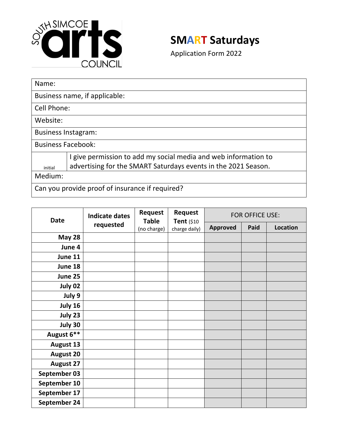

## **SMART Saturdays**

Application Form 2022

| Name:                                           |                                                                 |  |  |  |  |
|-------------------------------------------------|-----------------------------------------------------------------|--|--|--|--|
| Business name, if applicable:                   |                                                                 |  |  |  |  |
| Cell Phone:                                     |                                                                 |  |  |  |  |
| Website:                                        |                                                                 |  |  |  |  |
| <b>Business Instagram:</b>                      |                                                                 |  |  |  |  |
| <b>Business Facebook:</b>                       |                                                                 |  |  |  |  |
|                                                 | I give permission to add my social media and web information to |  |  |  |  |
| initial                                         | advertising for the SMART Saturdays events in the 2021 Season.  |  |  |  |  |
| Medium:                                         |                                                                 |  |  |  |  |
| Can you provide proof of insurance if required? |                                                                 |  |  |  |  |

| <b>Date</b>      | <b>Indicate dates</b><br>requested | Request<br><b>Table</b><br>(no charge) | <b>Request</b><br>Tent (\$10<br>charge daily) | FOR OFFICE USE: |      |          |
|------------------|------------------------------------|----------------------------------------|-----------------------------------------------|-----------------|------|----------|
|                  |                                    |                                        |                                               | <b>Approved</b> | Paid | Location |
| May 28           |                                    |                                        |                                               |                 |      |          |
| June 4           |                                    |                                        |                                               |                 |      |          |
| June 11          |                                    |                                        |                                               |                 |      |          |
| June 18          |                                    |                                        |                                               |                 |      |          |
| June 25          |                                    |                                        |                                               |                 |      |          |
| July 02          |                                    |                                        |                                               |                 |      |          |
| July 9           |                                    |                                        |                                               |                 |      |          |
| July 16          |                                    |                                        |                                               |                 |      |          |
| July 23          |                                    |                                        |                                               |                 |      |          |
| July 30          |                                    |                                        |                                               |                 |      |          |
| August 6**       |                                    |                                        |                                               |                 |      |          |
| <b>August 13</b> |                                    |                                        |                                               |                 |      |          |
| <b>August 20</b> |                                    |                                        |                                               |                 |      |          |
| <b>August 27</b> |                                    |                                        |                                               |                 |      |          |
| September 03     |                                    |                                        |                                               |                 |      |          |
| September 10     |                                    |                                        |                                               |                 |      |          |
| September 17     |                                    |                                        |                                               |                 |      |          |
| September 24     |                                    |                                        |                                               |                 |      |          |